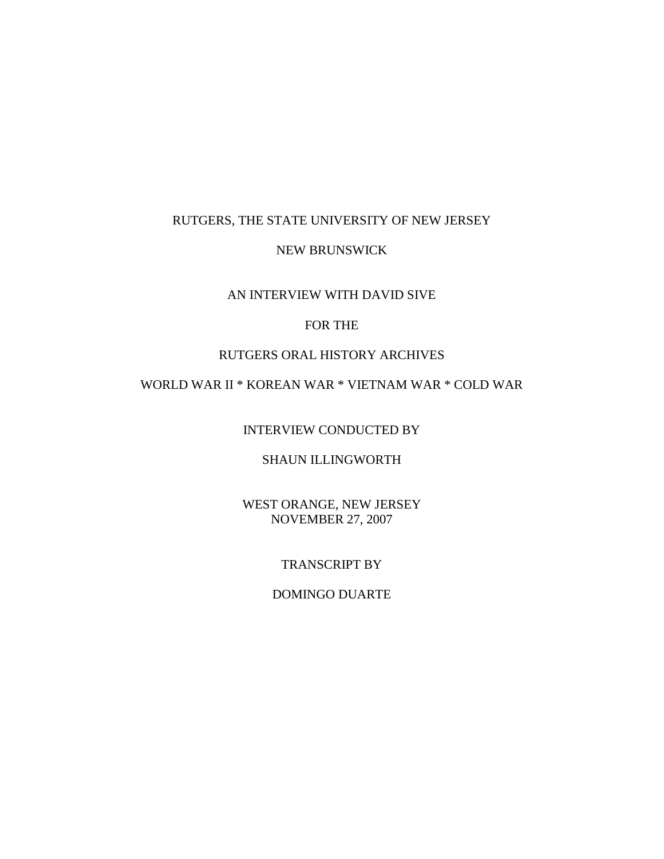# RUTGERS, THE STATE UNIVERSITY OF NEW JERSEY

#### NEW BRUNSWICK

#### AN INTERVIEW WITH DAVID SIVE

# FOR THE

# RUTGERS ORAL HISTORY ARCHIVES

# WORLD WAR II \* KOREAN WAR \* VIETNAM WAR \* COLD WAR

INTERVIEW CONDUCTED BY

# SHAUN ILLINGWORTH

WEST ORANGE, NEW JERSEY NOVEMBER 27, 2007

# TRANSCRIPT BY

# DOMINGO DUARTE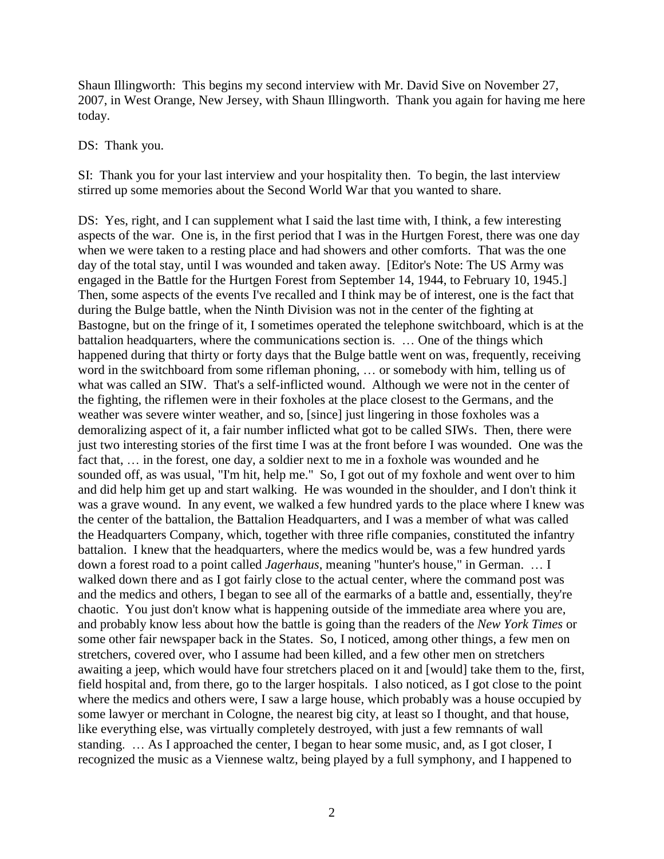Shaun Illingworth: This begins my second interview with Mr. David Sive on November 27, 2007, in West Orange, New Jersey, with Shaun Illingworth. Thank you again for having me here today.

#### DS: Thank you.

SI: Thank you for your last interview and your hospitality then. To begin, the last interview stirred up some memories about the Second World War that you wanted to share.

DS: Yes, right, and I can supplement what I said the last time with, I think, a few interesting aspects of the war. One is, in the first period that I was in the Hurtgen Forest, there was one day when we were taken to a resting place and had showers and other comforts. That was the one day of the total stay, until I was wounded and taken away. [Editor's Note: The US Army was engaged in the Battle for the Hurtgen Forest from September 14, 1944, to February 10, 1945.] Then, some aspects of the events I've recalled and I think may be of interest, one is the fact that during the Bulge battle, when the Ninth Division was not in the center of the fighting at Bastogne, but on the fringe of it, I sometimes operated the telephone switchboard, which is at the battalion headquarters, where the communications section is. … One of the things which happened during that thirty or forty days that the Bulge battle went on was, frequently, receiving word in the switchboard from some rifleman phoning, … or somebody with him, telling us of what was called an SIW. That's a self-inflicted wound. Although we were not in the center of the fighting, the riflemen were in their foxholes at the place closest to the Germans, and the weather was severe winter weather, and so, [since] just lingering in those foxholes was a demoralizing aspect of it, a fair number inflicted what got to be called SIWs. Then, there were just two interesting stories of the first time I was at the front before I was wounded. One was the fact that, … in the forest, one day, a soldier next to me in a foxhole was wounded and he sounded off, as was usual, "I'm hit, help me." So, I got out of my foxhole and went over to him and did help him get up and start walking. He was wounded in the shoulder, and I don't think it was a grave wound. In any event, we walked a few hundred yards to the place where I knew was the center of the battalion, the Battalion Headquarters, and I was a member of what was called the Headquarters Company, which, together with three rifle companies, constituted the infantry battalion. I knew that the headquarters, where the medics would be, was a few hundred yards down a forest road to a point called *Jagerhaus*, meaning "hunter's house," in German. … I walked down there and as I got fairly close to the actual center, where the command post was and the medics and others, I began to see all of the earmarks of a battle and, essentially, they're chaotic. You just don't know what is happening outside of the immediate area where you are, and probably know less about how the battle is going than the readers of the *New York Times* or some other fair newspaper back in the States. So, I noticed, among other things, a few men on stretchers, covered over, who I assume had been killed, and a few other men on stretchers awaiting a jeep, which would have four stretchers placed on it and [would] take them to the, first, field hospital and, from there, go to the larger hospitals. I also noticed, as I got close to the point where the medics and others were, I saw a large house, which probably was a house occupied by some lawyer or merchant in Cologne, the nearest big city, at least so I thought, and that house, like everything else, was virtually completely destroyed, with just a few remnants of wall standing. … As I approached the center, I began to hear some music, and, as I got closer, I recognized the music as a Viennese waltz, being played by a full symphony, and I happened to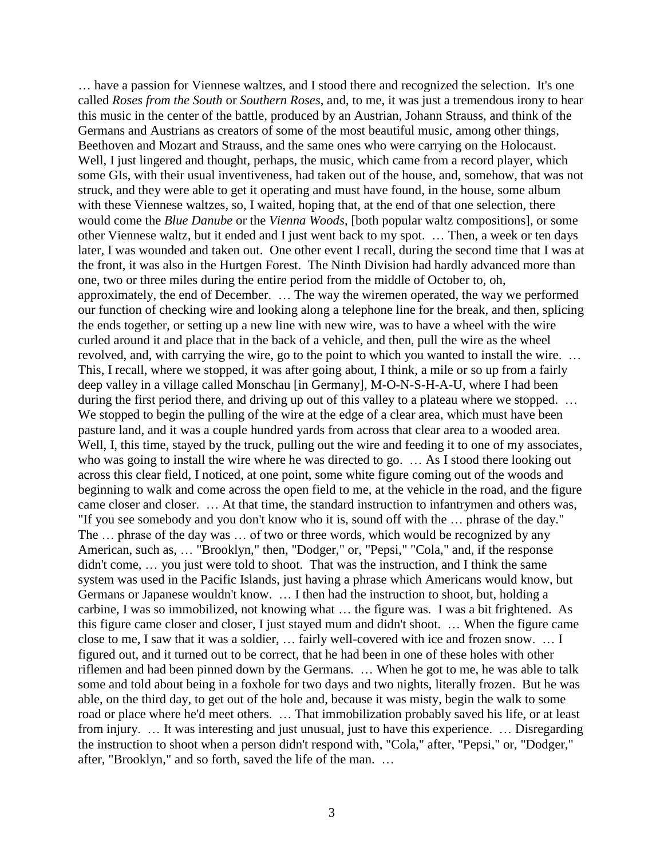… have a passion for Viennese waltzes, and I stood there and recognized the selection. It's one called *Roses from the South* or *Southern Roses*, and, to me, it was just a tremendous irony to hear this music in the center of the battle, produced by an Austrian, Johann Strauss, and think of the Germans and Austrians as creators of some of the most beautiful music, among other things, Beethoven and Mozart and Strauss, and the same ones who were carrying on the Holocaust. Well, I just lingered and thought, perhaps, the music, which came from a record player, which some GIs, with their usual inventiveness, had taken out of the house, and, somehow, that was not struck, and they were able to get it operating and must have found, in the house, some album with these Viennese waltzes, so, I waited, hoping that, at the end of that one selection, there would come the *Blue Danube* or the *Vienna Woods*, [both popular waltz compositions], or some other Viennese waltz, but it ended and I just went back to my spot. … Then, a week or ten days later, I was wounded and taken out. One other event I recall, during the second time that I was at the front, it was also in the Hurtgen Forest. The Ninth Division had hardly advanced more than one, two or three miles during the entire period from the middle of October to, oh, approximately, the end of December. … The way the wiremen operated, the way we performed our function of checking wire and looking along a telephone line for the break, and then, splicing the ends together, or setting up a new line with new wire, was to have a wheel with the wire curled around it and place that in the back of a vehicle, and then, pull the wire as the wheel revolved, and, with carrying the wire, go to the point to which you wanted to install the wire. … This, I recall, where we stopped, it was after going about, I think, a mile or so up from a fairly deep valley in a village called Monschau [in Germany], M-O-N-S-H-A-U, where I had been during the first period there, and driving up out of this valley to a plateau where we stopped. ... We stopped to begin the pulling of the wire at the edge of a clear area, which must have been pasture land, and it was a couple hundred yards from across that clear area to a wooded area. Well, I, this time, stayed by the truck, pulling out the wire and feeding it to one of my associates, who was going to install the wire where he was directed to go. … As I stood there looking out across this clear field, I noticed, at one point, some white figure coming out of the woods and beginning to walk and come across the open field to me, at the vehicle in the road, and the figure came closer and closer. … At that time, the standard instruction to infantrymen and others was, "If you see somebody and you don't know who it is, sound off with the … phrase of the day." The … phrase of the day was … of two or three words, which would be recognized by any American, such as, … "Brooklyn," then, "Dodger," or, "Pepsi," "Cola," and, if the response didn't come, … you just were told to shoot. That was the instruction, and I think the same system was used in the Pacific Islands, just having a phrase which Americans would know, but Germans or Japanese wouldn't know. … I then had the instruction to shoot, but, holding a carbine, I was so immobilized, not knowing what … the figure was. I was a bit frightened. As this figure came closer and closer, I just stayed mum and didn't shoot. … When the figure came close to me, I saw that it was a soldier, … fairly well-covered with ice and frozen snow. … I figured out, and it turned out to be correct, that he had been in one of these holes with other riflemen and had been pinned down by the Germans. … When he got to me, he was able to talk some and told about being in a foxhole for two days and two nights, literally frozen. But he was able, on the third day, to get out of the hole and, because it was misty, begin the walk to some road or place where he'd meet others. … That immobilization probably saved his life, or at least from injury. … It was interesting and just unusual, just to have this experience. … Disregarding the instruction to shoot when a person didn't respond with, "Cola," after, "Pepsi," or, "Dodger," after, "Brooklyn," and so forth, saved the life of the man. …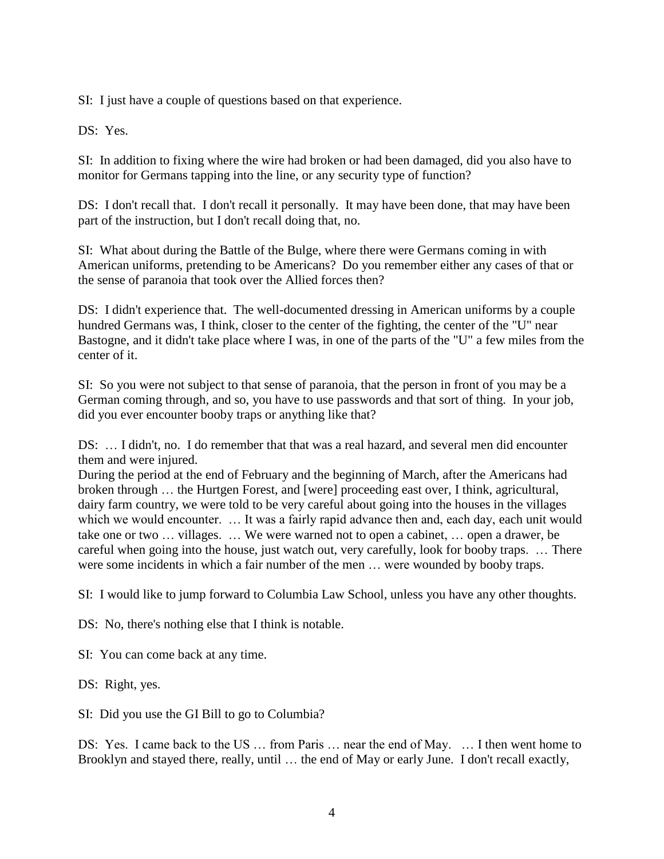SI: I just have a couple of questions based on that experience.

DS: Yes.

SI: In addition to fixing where the wire had broken or had been damaged, did you also have to monitor for Germans tapping into the line, or any security type of function?

DS: I don't recall that. I don't recall it personally. It may have been done, that may have been part of the instruction, but I don't recall doing that, no.

SI: What about during the Battle of the Bulge, where there were Germans coming in with American uniforms, pretending to be Americans? Do you remember either any cases of that or the sense of paranoia that took over the Allied forces then?

DS: I didn't experience that. The well-documented dressing in American uniforms by a couple hundred Germans was, I think, closer to the center of the fighting, the center of the "U" near Bastogne, and it didn't take place where I was, in one of the parts of the "U" a few miles from the center of it.

SI: So you were not subject to that sense of paranoia, that the person in front of you may be a German coming through, and so, you have to use passwords and that sort of thing. In your job, did you ever encounter booby traps or anything like that?

DS: … I didn't, no. I do remember that that was a real hazard, and several men did encounter them and were injured.

During the period at the end of February and the beginning of March, after the Americans had broken through … the Hurtgen Forest, and [were] proceeding east over, I think, agricultural, dairy farm country, we were told to be very careful about going into the houses in the villages which we would encounter. ... It was a fairly rapid advance then and, each day, each unit would take one or two … villages. … We were warned not to open a cabinet, … open a drawer, be careful when going into the house, just watch out, very carefully, look for booby traps. … There were some incidents in which a fair number of the men … were wounded by booby traps.

SI: I would like to jump forward to Columbia Law School, unless you have any other thoughts.

DS: No, there's nothing else that I think is notable.

SI: You can come back at any time.

DS: Right, yes.

SI: Did you use the GI Bill to go to Columbia?

DS: Yes. I came back to the US ... from Paris ... near the end of May. ... I then went home to Brooklyn and stayed there, really, until … the end of May or early June. I don't recall exactly,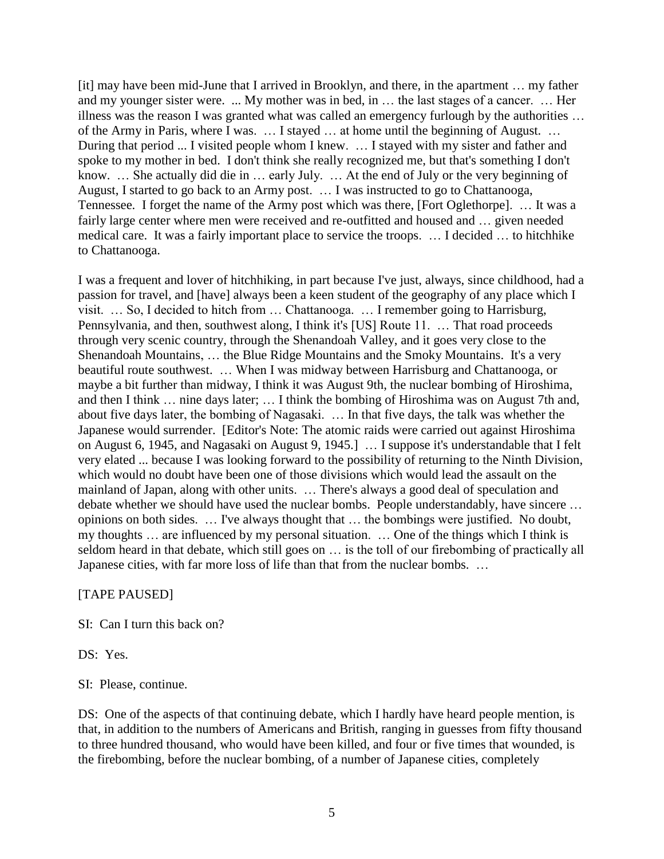[it] may have been mid-June that I arrived in Brooklyn, and there, in the apartment … my father and my younger sister were. ... My mother was in bed, in … the last stages of a cancer. … Her illness was the reason I was granted what was called an emergency furlough by the authorities … of the Army in Paris, where I was. … I stayed … at home until the beginning of August. … During that period ... I visited people whom I knew. … I stayed with my sister and father and spoke to my mother in bed. I don't think she really recognized me, but that's something I don't know. … She actually did die in … early July. … At the end of July or the very beginning of August, I started to go back to an Army post. … I was instructed to go to Chattanooga, Tennessee. I forget the name of the Army post which was there, [Fort Oglethorpe]. … It was a fairly large center where men were received and re-outfitted and housed and … given needed medical care. It was a fairly important place to service the troops. … I decided … to hitchhike to Chattanooga.

I was a frequent and lover of hitchhiking, in part because I've just, always, since childhood, had a passion for travel, and [have] always been a keen student of the geography of any place which I visit. … So, I decided to hitch from … Chattanooga. … I remember going to Harrisburg, Pennsylvania, and then, southwest along, I think it's [US] Route 11. … That road proceeds through very scenic country, through the Shenandoah Valley, and it goes very close to the Shenandoah Mountains, … the Blue Ridge Mountains and the Smoky Mountains. It's a very beautiful route southwest. … When I was midway between Harrisburg and Chattanooga, or maybe a bit further than midway, I think it was August 9th, the nuclear bombing of Hiroshima, and then I think … nine days later; … I think the bombing of Hiroshima was on August 7th and, about five days later, the bombing of Nagasaki. … In that five days, the talk was whether the Japanese would surrender. [Editor's Note: The atomic raids were carried out against Hiroshima on August 6, 1945, and Nagasaki on August 9, 1945.] … I suppose it's understandable that I felt very elated ... because I was looking forward to the possibility of returning to the Ninth Division, which would no doubt have been one of those divisions which would lead the assault on the mainland of Japan, along with other units. … There's always a good deal of speculation and debate whether we should have used the nuclear bombs. People understandably, have sincere … opinions on both sides. … I've always thought that … the bombings were justified. No doubt, my thoughts … are influenced by my personal situation. … One of the things which I think is seldom heard in that debate, which still goes on … is the toll of our firebombing of practically all Japanese cities, with far more loss of life than that from the nuclear bombs. …

#### [TAPE PAUSED]

SI: Can I turn this back on?

DS: Yes.

SI: Please, continue.

DS: One of the aspects of that continuing debate, which I hardly have heard people mention, is that, in addition to the numbers of Americans and British, ranging in guesses from fifty thousand to three hundred thousand, who would have been killed, and four or five times that wounded, is the firebombing, before the nuclear bombing, of a number of Japanese cities, completely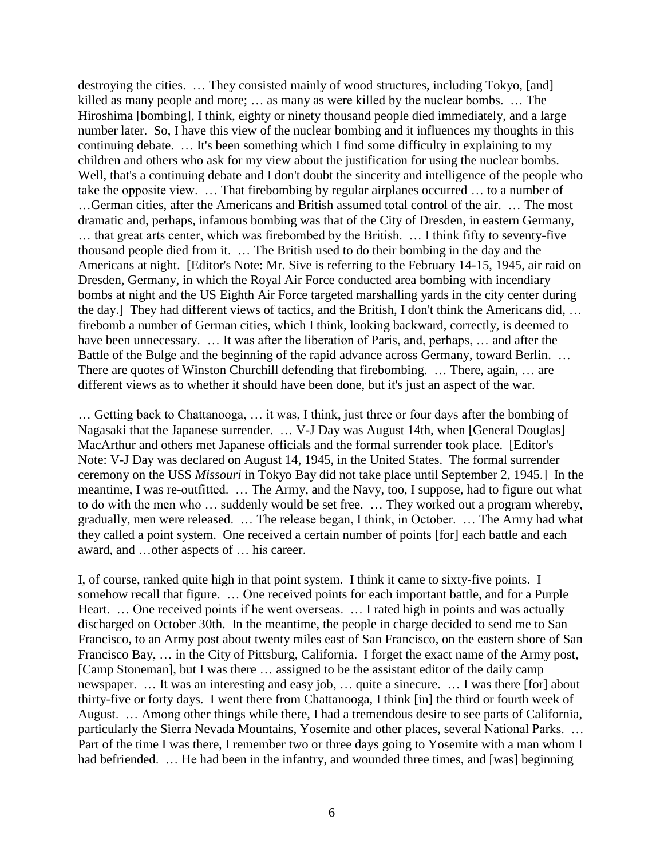destroying the cities. … They consisted mainly of wood structures, including Tokyo, [and] killed as many people and more; … as many as were killed by the nuclear bombs. … The Hiroshima [bombing], I think, eighty or ninety thousand people died immediately, and a large number later. So, I have this view of the nuclear bombing and it influences my thoughts in this continuing debate. … It's been something which I find some difficulty in explaining to my children and others who ask for my view about the justification for using the nuclear bombs. Well, that's a continuing debate and I don't doubt the sincerity and intelligence of the people who take the opposite view. … That firebombing by regular airplanes occurred … to a number of …German cities, after the Americans and British assumed total control of the air. … The most dramatic and, perhaps, infamous bombing was that of the City of Dresden, in eastern Germany, … that great arts center, which was firebombed by the British. … I think fifty to seventy-five thousand people died from it. … The British used to do their bombing in the day and the Americans at night. [Editor's Note: Mr. Sive is referring to the February 14-15, 1945, air raid on Dresden, Germany, in which the Royal Air Force conducted area bombing with incendiary bombs at night and the US Eighth Air Force targeted marshalling yards in the city center during the day.] They had different views of tactics, and the British, I don't think the Americans did, … firebomb a number of German cities, which I think, looking backward, correctly, is deemed to have been unnecessary. ... It was after the liberation of Paris, and, perhaps, ... and after the Battle of the Bulge and the beginning of the rapid advance across Germany, toward Berlin. ... There are quotes of Winston Churchill defending that firebombing. … There, again, … are different views as to whether it should have been done, but it's just an aspect of the war.

… Getting back to Chattanooga, … it was, I think, just three or four days after the bombing of Nagasaki that the Japanese surrender. … V-J Day was August 14th, when [General Douglas] MacArthur and others met Japanese officials and the formal surrender took place. [Editor's Note: V-J Day was declared on August 14, 1945, in the United States. The formal surrender ceremony on the USS *Missouri* in Tokyo Bay did not take place until September 2, 1945.] In the meantime, I was re-outfitted. … The Army, and the Navy, too, I suppose, had to figure out what to do with the men who … suddenly would be set free. … They worked out a program whereby, gradually, men were released. … The release began, I think, in October. … The Army had what they called a point system. One received a certain number of points [for] each battle and each award, and …other aspects of … his career.

I, of course, ranked quite high in that point system. I think it came to sixty-five points. I somehow recall that figure. … One received points for each important battle, and for a Purple Heart. ... One received points if he went overseas. ... I rated high in points and was actually discharged on October 30th. In the meantime, the people in charge decided to send me to San Francisco, to an Army post about twenty miles east of San Francisco, on the eastern shore of San Francisco Bay, … in the City of Pittsburg, California. I forget the exact name of the Army post, [Camp Stoneman], but I was there ... assigned to be the assistant editor of the daily camp newspaper. … It was an interesting and easy job, … quite a sinecure. … I was there [for] about thirty-five or forty days. I went there from Chattanooga, I think [in] the third or fourth week of August. … Among other things while there, I had a tremendous desire to see parts of California, particularly the Sierra Nevada Mountains, Yosemite and other places, several National Parks. … Part of the time I was there, I remember two or three days going to Yosemite with a man whom I had befriended. ... He had been in the infantry, and wounded three times, and [was] beginning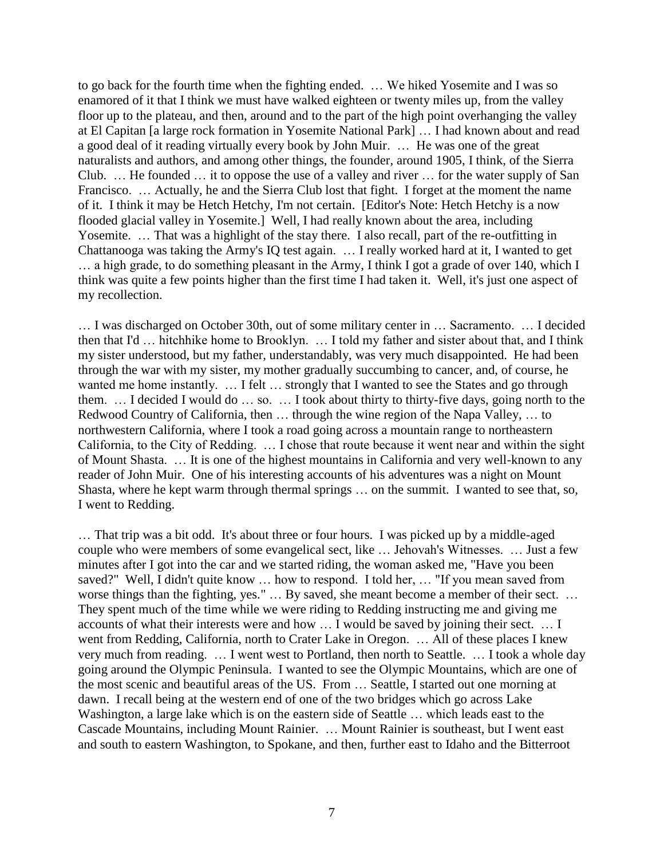to go back for the fourth time when the fighting ended. … We hiked Yosemite and I was so enamored of it that I think we must have walked eighteen or twenty miles up, from the valley floor up to the plateau, and then, around and to the part of the high point overhanging the valley at El Capitan [a large rock formation in Yosemite National Park] … I had known about and read a good deal of it reading virtually every book by John Muir. … He was one of the great naturalists and authors, and among other things, the founder, around 1905, I think, of the Sierra Club. … He founded … it to oppose the use of a valley and river … for the water supply of San Francisco. … Actually, he and the Sierra Club lost that fight. I forget at the moment the name of it. I think it may be Hetch Hetchy, I'm not certain. [Editor's Note: Hetch Hetchy is a now flooded glacial valley in Yosemite.] Well, I had really known about the area, including Yosemite. … That was a highlight of the stay there. I also recall, part of the re-outfitting in Chattanooga was taking the Army's IQ test again. … I really worked hard at it, I wanted to get … a high grade, to do something pleasant in the Army, I think I got a grade of over 140, which I think was quite a few points higher than the first time I had taken it. Well, it's just one aspect of my recollection.

… I was discharged on October 30th, out of some military center in … Sacramento. … I decided then that I'd … hitchhike home to Brooklyn. … I told my father and sister about that, and I think my sister understood, but my father, understandably, was very much disappointed. He had been through the war with my sister, my mother gradually succumbing to cancer, and, of course, he wanted me home instantly. ... I felt ... strongly that I wanted to see the States and go through them. … I decided I would do … so. … I took about thirty to thirty-five days, going north to the Redwood Country of California, then … through the wine region of the Napa Valley, … to northwestern California, where I took a road going across a mountain range to northeastern California, to the City of Redding. … I chose that route because it went near and within the sight of Mount Shasta. … It is one of the highest mountains in California and very well-known to any reader of John Muir. One of his interesting accounts of his adventures was a night on Mount Shasta, where he kept warm through thermal springs … on the summit. I wanted to see that, so, I went to Redding.

… That trip was a bit odd. It's about three or four hours. I was picked up by a middle-aged couple who were members of some evangelical sect, like … Jehovah's Witnesses. … Just a few minutes after I got into the car and we started riding, the woman asked me, "Have you been saved?" Well, I didn't quite know … how to respond. I told her, … "If you mean saved from worse things than the fighting, yes." … By saved, she meant become a member of their sect. … They spent much of the time while we were riding to Redding instructing me and giving me accounts of what their interests were and how … I would be saved by joining their sect. … I went from Redding, California, north to Crater Lake in Oregon. … All of these places I knew very much from reading. … I went west to Portland, then north to Seattle. … I took a whole day going around the Olympic Peninsula. I wanted to see the Olympic Mountains, which are one of the most scenic and beautiful areas of the US. From … Seattle, I started out one morning at dawn. I recall being at the western end of one of the two bridges which go across Lake Washington, a large lake which is on the eastern side of Seattle … which leads east to the Cascade Mountains, including Mount Rainier. … Mount Rainier is southeast, but I went east and south to eastern Washington, to Spokane, and then, further east to Idaho and the Bitterroot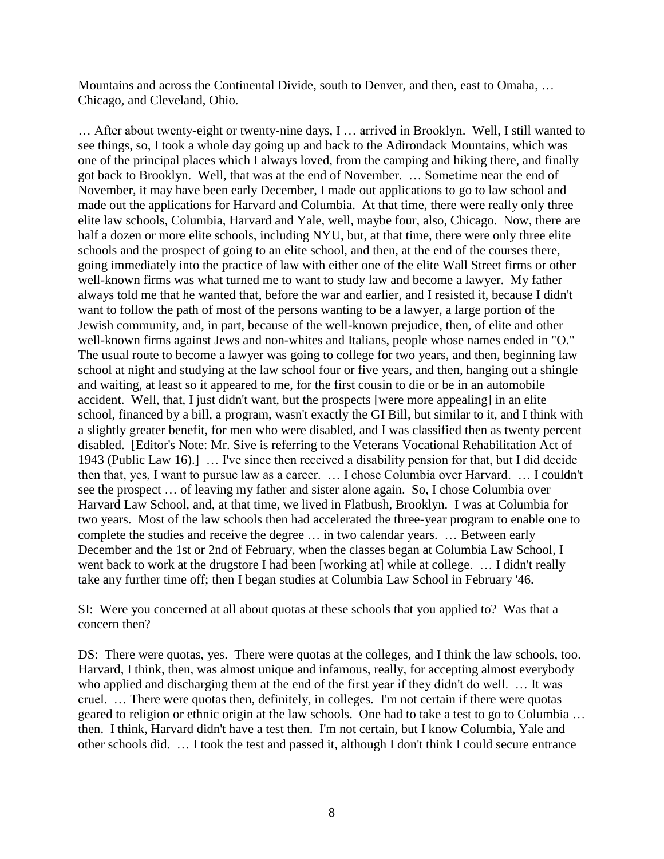Mountains and across the Continental Divide, south to Denver, and then, east to Omaha, … Chicago, and Cleveland, Ohio.

… After about twenty-eight or twenty-nine days, I … arrived in Brooklyn. Well, I still wanted to see things, so, I took a whole day going up and back to the Adirondack Mountains, which was one of the principal places which I always loved, from the camping and hiking there, and finally got back to Brooklyn. Well, that was at the end of November. … Sometime near the end of November, it may have been early December, I made out applications to go to law school and made out the applications for Harvard and Columbia. At that time, there were really only three elite law schools, Columbia, Harvard and Yale, well, maybe four, also, Chicago. Now, there are half a dozen or more elite schools, including NYU, but, at that time, there were only three elite schools and the prospect of going to an elite school, and then, at the end of the courses there, going immediately into the practice of law with either one of the elite Wall Street firms or other well-known firms was what turned me to want to study law and become a lawyer. My father always told me that he wanted that, before the war and earlier, and I resisted it, because I didn't want to follow the path of most of the persons wanting to be a lawyer, a large portion of the Jewish community, and, in part, because of the well-known prejudice, then, of elite and other well-known firms against Jews and non-whites and Italians, people whose names ended in "O." The usual route to become a lawyer was going to college for two years, and then, beginning law school at night and studying at the law school four or five years, and then, hanging out a shingle and waiting, at least so it appeared to me, for the first cousin to die or be in an automobile accident. Well, that, I just didn't want, but the prospects [were more appealing] in an elite school, financed by a bill, a program, wasn't exactly the GI Bill, but similar to it, and I think with a slightly greater benefit, for men who were disabled, and I was classified then as twenty percent disabled. [Editor's Note: Mr. Sive is referring to the Veterans Vocational Rehabilitation Act of 1943 (Public Law 16).] … I've since then received a disability pension for that, but I did decide then that, yes, I want to pursue law as a career. … I chose Columbia over Harvard. … I couldn't see the prospect … of leaving my father and sister alone again. So, I chose Columbia over Harvard Law School, and, at that time, we lived in Flatbush, Brooklyn. I was at Columbia for two years. Most of the law schools then had accelerated the three-year program to enable one to complete the studies and receive the degree … in two calendar years. … Between early December and the 1st or 2nd of February, when the classes began at Columbia Law School, I went back to work at the drugstore I had been [working at] while at college. … I didn't really take any further time off; then I began studies at Columbia Law School in February '46.

SI: Were you concerned at all about quotas at these schools that you applied to? Was that a concern then?

DS: There were quotas, yes. There were quotas at the colleges, and I think the law schools, too. Harvard, I think, then, was almost unique and infamous, really, for accepting almost everybody who applied and discharging them at the end of the first year if they didn't do well. … It was cruel. … There were quotas then, definitely, in colleges. I'm not certain if there were quotas geared to religion or ethnic origin at the law schools. One had to take a test to go to Columbia … then. I think, Harvard didn't have a test then. I'm not certain, but I know Columbia, Yale and other schools did. … I took the test and passed it, although I don't think I could secure entrance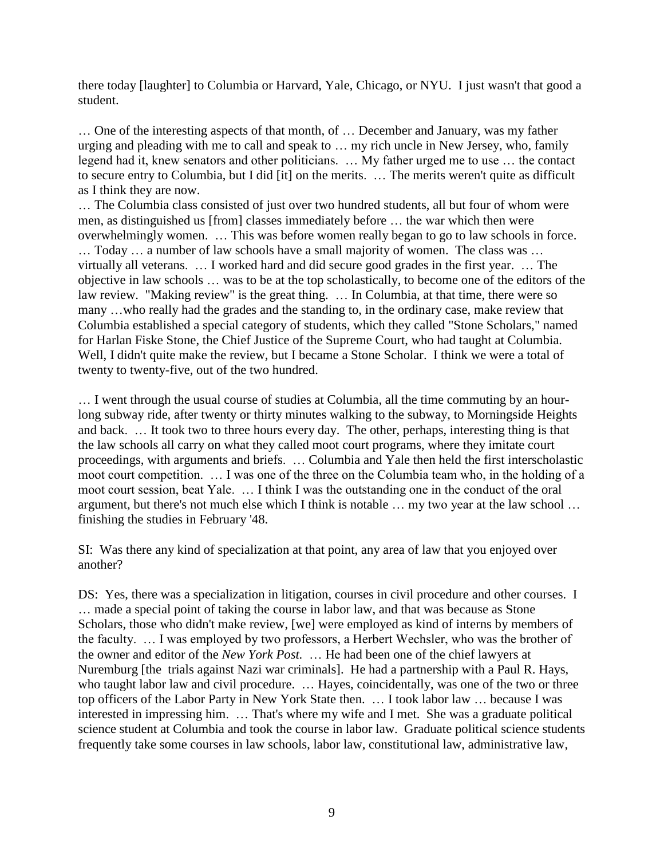there today [laughter] to Columbia or Harvard, Yale, Chicago, or NYU. I just wasn't that good a student.

… One of the interesting aspects of that month, of … December and January, was my father urging and pleading with me to call and speak to … my rich uncle in New Jersey, who, family legend had it, knew senators and other politicians. … My father urged me to use … the contact to secure entry to Columbia, but I did [it] on the merits. … The merits weren't quite as difficult as I think they are now.

… The Columbia class consisted of just over two hundred students, all but four of whom were men, as distinguished us [from] classes immediately before … the war which then were overwhelmingly women. … This was before women really began to go to law schools in force. … Today … a number of law schools have a small majority of women. The class was … virtually all veterans. … I worked hard and did secure good grades in the first year. … The objective in law schools … was to be at the top scholastically, to become one of the editors of the law review. "Making review" is the great thing. … In Columbia, at that time, there were so many …who really had the grades and the standing to, in the ordinary case, make review that Columbia established a special category of students, which they called "Stone Scholars," named for Harlan Fiske Stone, the Chief Justice of the Supreme Court, who had taught at Columbia. Well, I didn't quite make the review, but I became a Stone Scholar. I think we were a total of twenty to twenty-five, out of the two hundred.

… I went through the usual course of studies at Columbia, all the time commuting by an hourlong subway ride, after twenty or thirty minutes walking to the subway, to Morningside Heights and back. … It took two to three hours every day. The other, perhaps, interesting thing is that the law schools all carry on what they called moot court programs, where they imitate court proceedings, with arguments and briefs. … Columbia and Yale then held the first interscholastic moot court competition. … I was one of the three on the Columbia team who, in the holding of a moot court session, beat Yale. … I think I was the outstanding one in the conduct of the oral argument, but there's not much else which I think is notable … my two year at the law school … finishing the studies in February '48.

SI: Was there any kind of specialization at that point, any area of law that you enjoyed over another?

DS: Yes, there was a specialization in litigation, courses in civil procedure and other courses. I … made a special point of taking the course in labor law, and that was because as Stone Scholars, those who didn't make review, [we] were employed as kind of interns by members of the faculty. … I was employed by two professors, a Herbert Wechsler, who was the brother of the owner and editor of the *New York Post.* … He had been one of the chief lawyers at Nuremburg [the trials against Nazi war criminals]. He had a partnership with a Paul R. Hays, who taught labor law and civil procedure. … Hayes, coincidentally, was one of the two or three top officers of the Labor Party in New York State then. … I took labor law … because I was interested in impressing him. … That's where my wife and I met. She was a graduate political science student at Columbia and took the course in labor law. Graduate political science students frequently take some courses in law schools, labor law, constitutional law, administrative law,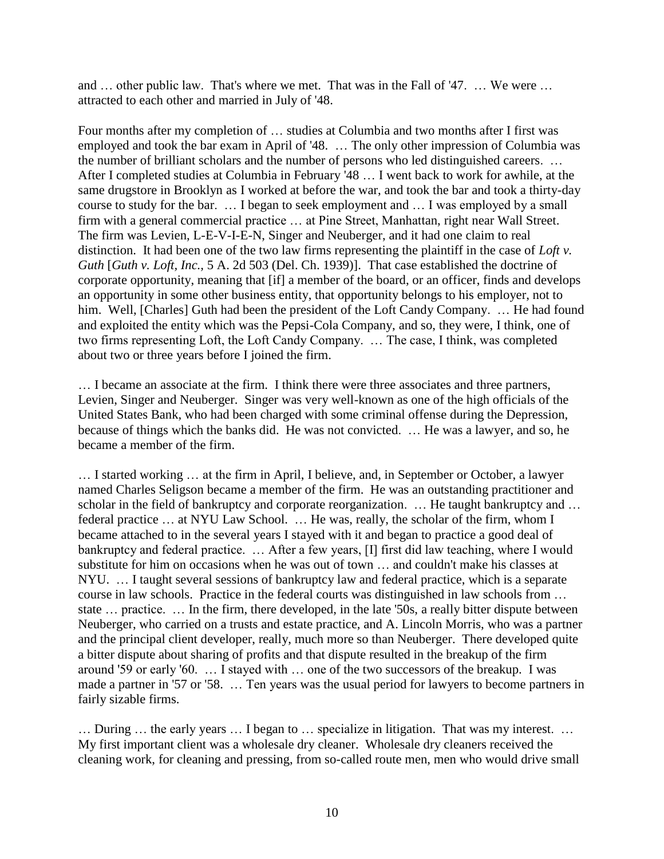and … other public law. That's where we met. That was in the Fall of '47. … We were … attracted to each other and married in July of '48.

Four months after my completion of … studies at Columbia and two months after I first was employed and took the bar exam in April of '48. … The only other impression of Columbia was the number of brilliant scholars and the number of persons who led distinguished careers. … After I completed studies at Columbia in February '48 … I went back to work for awhile, at the same drugstore in Brooklyn as I worked at before the war, and took the bar and took a thirty-day course to study for the bar. … I began to seek employment and … I was employed by a small firm with a general commercial practice … at Pine Street, Manhattan, right near Wall Street. The firm was Levien, L-E-V-I-E-N, Singer and Neuberger, and it had one claim to real distinction. It had been one of the two law firms representing the plaintiff in the case of *Loft v. Guth* [*Guth v. Loft, Inc.,* 5 A. 2d 503 (Del. Ch. 1939)]. That case established the doctrine of corporate opportunity, meaning that [if] a member of the board, or an officer, finds and develops an opportunity in some other business entity, that opportunity belongs to his employer, not to him. Well, [Charles] Guth had been the president of the Loft Candy Company. ... He had found and exploited the entity which was the Pepsi-Cola Company, and so, they were, I think, one of two firms representing Loft, the Loft Candy Company. … The case, I think, was completed about two or three years before I joined the firm.

… I became an associate at the firm. I think there were three associates and three partners, Levien, Singer and Neuberger. Singer was very well-known as one of the high officials of the United States Bank, who had been charged with some criminal offense during the Depression, because of things which the banks did. He was not convicted. … He was a lawyer, and so, he became a member of the firm.

… I started working … at the firm in April, I believe, and, in September or October, a lawyer named Charles Seligson became a member of the firm. He was an outstanding practitioner and scholar in the field of bankruptcy and corporate reorganization. ... He taught bankruptcy and ... federal practice … at NYU Law School. … He was, really, the scholar of the firm, whom I became attached to in the several years I stayed with it and began to practice a good deal of bankruptcy and federal practice. … After a few years, [I] first did law teaching, where I would substitute for him on occasions when he was out of town … and couldn't make his classes at NYU. … I taught several sessions of bankruptcy law and federal practice, which is a separate course in law schools. Practice in the federal courts was distinguished in law schools from … state … practice. … In the firm, there developed, in the late '50s, a really bitter dispute between Neuberger, who carried on a trusts and estate practice, and A. Lincoln Morris, who was a partner and the principal client developer, really, much more so than Neuberger. There developed quite a bitter dispute about sharing of profits and that dispute resulted in the breakup of the firm around '59 or early '60. … I stayed with … one of the two successors of the breakup. I was made a partner in '57 or '58. … Ten years was the usual period for lawyers to become partners in fairly sizable firms.

… During … the early years … I began to … specialize in litigation. That was my interest. … My first important client was a wholesale dry cleaner. Wholesale dry cleaners received the cleaning work, for cleaning and pressing, from so-called route men, men who would drive small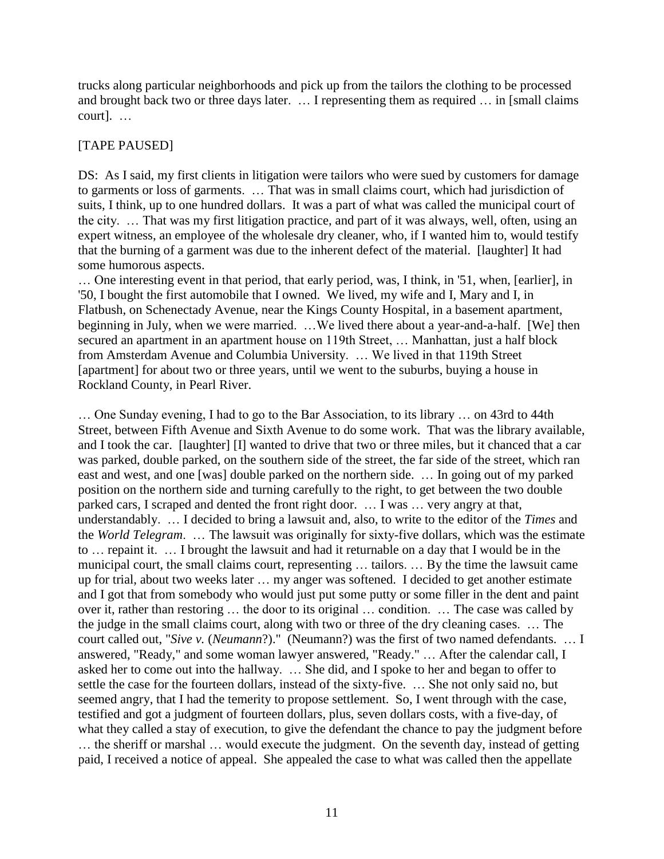trucks along particular neighborhoods and pick up from the tailors the clothing to be processed and brought back two or three days later. … I representing them as required … in [small claims court]. …

# [TAPE PAUSED]

DS: As I said, my first clients in litigation were tailors who were sued by customers for damage to garments or loss of garments. … That was in small claims court, which had jurisdiction of suits, I think, up to one hundred dollars. It was a part of what was called the municipal court of the city. … That was my first litigation practice, and part of it was always, well, often, using an expert witness, an employee of the wholesale dry cleaner, who, if I wanted him to, would testify that the burning of a garment was due to the inherent defect of the material. [laughter] It had some humorous aspects.

… One interesting event in that period, that early period, was, I think, in '51, when, [earlier], in '50, I bought the first automobile that I owned. We lived, my wife and I, Mary and I, in Flatbush, on Schenectady Avenue, near the Kings County Hospital, in a basement apartment, beginning in July, when we were married. …We lived there about a year-and-a-half. [We] then secured an apartment in an apartment house on 119th Street, ... Manhattan, just a half block from Amsterdam Avenue and Columbia University. … We lived in that 119th Street [apartment] for about two or three years, until we went to the suburbs, buying a house in Rockland County, in Pearl River.

… One Sunday evening, I had to go to the Bar Association, to its library … on 43rd to 44th Street, between Fifth Avenue and Sixth Avenue to do some work. That was the library available, and I took the car. [laughter] [I] wanted to drive that two or three miles, but it chanced that a car was parked, double parked, on the southern side of the street, the far side of the street, which ran east and west, and one [was] double parked on the northern side. … In going out of my parked position on the northern side and turning carefully to the right, to get between the two double parked cars, I scraped and dented the front right door. … I was … very angry at that, understandably. … I decided to bring a lawsuit and, also, to write to the editor of the *Times* and the *World Telegram*. … The lawsuit was originally for sixty-five dollars, which was the estimate to … repaint it. … I brought the lawsuit and had it returnable on a day that I would be in the municipal court, the small claims court, representing … tailors. … By the time the lawsuit came up for trial, about two weeks later … my anger was softened. I decided to get another estimate and I got that from somebody who would just put some putty or some filler in the dent and paint over it, rather than restoring … the door to its original … condition. … The case was called by the judge in the small claims court, along with two or three of the dry cleaning cases. … The court called out, "*Sive v.* (*Neumann*?)." (Neumann?) was the first of two named defendants. … I answered, "Ready," and some woman lawyer answered, "Ready." … After the calendar call, I asked her to come out into the hallway. … She did, and I spoke to her and began to offer to settle the case for the fourteen dollars, instead of the sixty-five. … She not only said no, but seemed angry, that I had the temerity to propose settlement. So, I went through with the case, testified and got a judgment of fourteen dollars, plus, seven dollars costs, with a five-day, of what they called a stay of execution, to give the defendant the chance to pay the judgment before … the sheriff or marshal … would execute the judgment. On the seventh day, instead of getting paid, I received a notice of appeal. She appealed the case to what was called then the appellate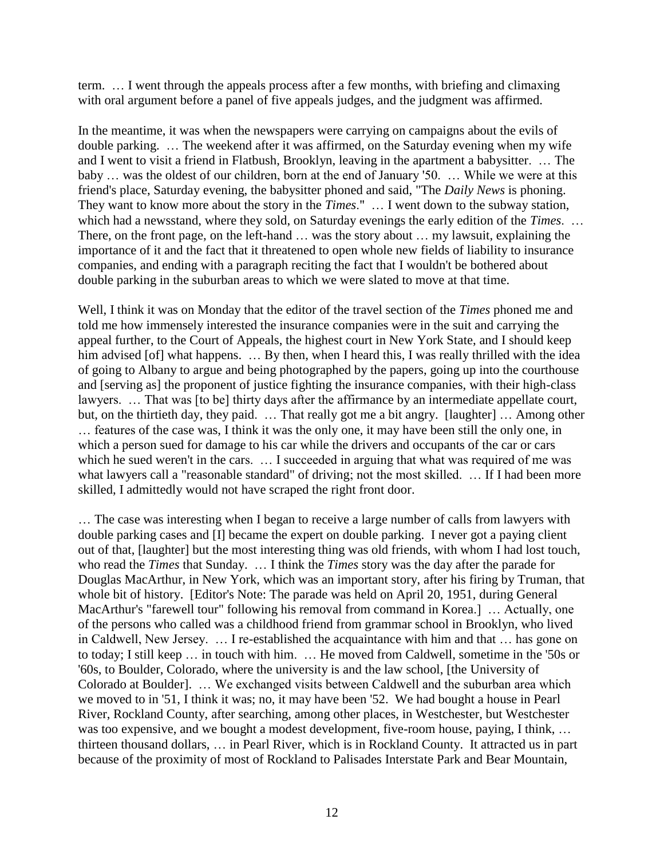term. … I went through the appeals process after a few months, with briefing and climaxing with oral argument before a panel of five appeals judges, and the judgment was affirmed.

In the meantime, it was when the newspapers were carrying on campaigns about the evils of double parking. … The weekend after it was affirmed, on the Saturday evening when my wife and I went to visit a friend in Flatbush, Brooklyn, leaving in the apartment a babysitter. … The baby … was the oldest of our children, born at the end of January '50. … While we were at this friend's place, Saturday evening, the babysitter phoned and said, "The *Daily News* is phoning. They want to know more about the story in the *Times*." … I went down to the subway station, which had a newsstand, where they sold, on Saturday evenings the early edition of the *Times*. … There, on the front page, on the left-hand ... was the story about ... my lawsuit, explaining the importance of it and the fact that it threatened to open whole new fields of liability to insurance companies, and ending with a paragraph reciting the fact that I wouldn't be bothered about double parking in the suburban areas to which we were slated to move at that time.

Well, I think it was on Monday that the editor of the travel section of the *Times* phoned me and told me how immensely interested the insurance companies were in the suit and carrying the appeal further, to the Court of Appeals, the highest court in New York State, and I should keep him advised [of] what happens. ... By then, when I heard this, I was really thrilled with the idea of going to Albany to argue and being photographed by the papers, going up into the courthouse and [serving as] the proponent of justice fighting the insurance companies, with their high-class lawyers. ... That was [to be] thirty days after the affirmance by an intermediate appellate court, but, on the thirtieth day, they paid. … That really got me a bit angry. [laughter] … Among other … features of the case was, I think it was the only one, it may have been still the only one, in which a person sued for damage to his car while the drivers and occupants of the car or cars which he sued weren't in the cars. ... I succeeded in arguing that what was required of me was what lawyers call a "reasonable standard" of driving; not the most skilled. ... If I had been more skilled, I admittedly would not have scraped the right front door.

… The case was interesting when I began to receive a large number of calls from lawyers with double parking cases and [I] became the expert on double parking. I never got a paying client out of that, [laughter] but the most interesting thing was old friends, with whom I had lost touch, who read the *Times* that Sunday. … I think the *Times* story was the day after the parade for Douglas MacArthur, in New York, which was an important story, after his firing by Truman, that whole bit of history. [Editor's Note: The parade was held on April 20, 1951, during General MacArthur's "farewell tour" following his removal from command in Korea.] … Actually, one of the persons who called was a childhood friend from grammar school in Brooklyn, who lived in Caldwell, New Jersey. … I re-established the acquaintance with him and that … has gone on to today; I still keep … in touch with him. … He moved from Caldwell, sometime in the '50s or '60s, to Boulder, Colorado, where the university is and the law school, [the University of Colorado at Boulder]. … We exchanged visits between Caldwell and the suburban area which we moved to in '51, I think it was; no, it may have been '52. We had bought a house in Pearl River, Rockland County, after searching, among other places, in Westchester, but Westchester was too expensive, and we bought a modest development, five-room house, paying, I think, ... thirteen thousand dollars, … in Pearl River, which is in Rockland County. It attracted us in part because of the proximity of most of Rockland to Palisades Interstate Park and Bear Mountain,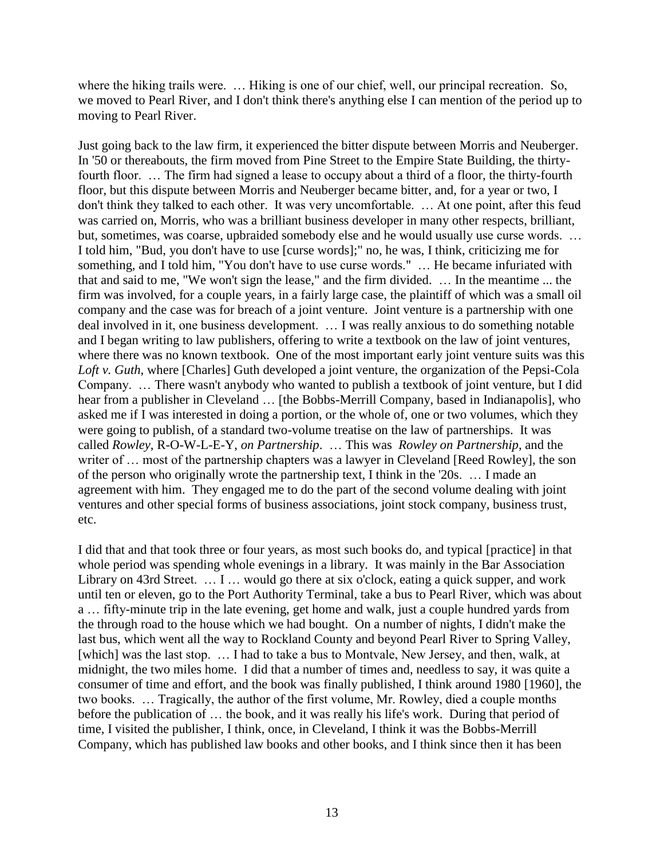where the hiking trails were. ... Hiking is one of our chief, well, our principal recreation. So, we moved to Pearl River, and I don't think there's anything else I can mention of the period up to moving to Pearl River.

Just going back to the law firm, it experienced the bitter dispute between Morris and Neuberger. In '50 or thereabouts, the firm moved from Pine Street to the Empire State Building, the thirtyfourth floor. … The firm had signed a lease to occupy about a third of a floor, the thirty-fourth floor, but this dispute between Morris and Neuberger became bitter, and, for a year or two, I don't think they talked to each other. It was very uncomfortable. … At one point, after this feud was carried on, Morris, who was a brilliant business developer in many other respects, brilliant, but, sometimes, was coarse, upbraided somebody else and he would usually use curse words. … I told him, "Bud, you don't have to use [curse words];" no, he was, I think, criticizing me for something, and I told him, "You don't have to use curse words." … He became infuriated with that and said to me, "We won't sign the lease," and the firm divided. … In the meantime ... the firm was involved, for a couple years, in a fairly large case, the plaintiff of which was a small oil company and the case was for breach of a joint venture. Joint venture is a partnership with one deal involved in it, one business development. … I was really anxious to do something notable and I began writing to law publishers, offering to write a textbook on the law of joint ventures, where there was no known textbook. One of the most important early joint venture suits was this *Loft v. Guth*, where [Charles] Guth developed a joint venture, the organization of the Pepsi-Cola Company. … There wasn't anybody who wanted to publish a textbook of joint venture, but I did hear from a publisher in Cleveland ... [the Bobbs-Merrill Company, based in Indianapolis], who asked me if I was interested in doing a portion, or the whole of, one or two volumes, which they were going to publish, of a standard two-volume treatise on the law of partnerships. It was called *Rowley*, R-O-W-L-E-Y, *on Partnership*. … This was *Rowley on Partnership*, and the writer of … most of the partnership chapters was a lawyer in Cleveland [Reed Rowley], the son of the person who originally wrote the partnership text, I think in the '20s. … I made an agreement with him. They engaged me to do the part of the second volume dealing with joint ventures and other special forms of business associations, joint stock company, business trust, etc.

I did that and that took three or four years, as most such books do, and typical [practice] in that whole period was spending whole evenings in a library. It was mainly in the Bar Association Library on 43rd Street. ... I ... would go there at six o'clock, eating a quick supper, and work until ten or eleven, go to the Port Authority Terminal, take a bus to Pearl River, which was about a … fifty-minute trip in the late evening, get home and walk, just a couple hundred yards from the through road to the house which we had bought. On a number of nights, I didn't make the last bus, which went all the way to Rockland County and beyond Pearl River to Spring Valley, [which] was the last stop. ... I had to take a bus to Montvale, New Jersey, and then, walk, at midnight, the two miles home. I did that a number of times and, needless to say, it was quite a consumer of time and effort, and the book was finally published, I think around 1980 [1960], the two books. … Tragically, the author of the first volume, Mr. Rowley, died a couple months before the publication of … the book, and it was really his life's work. During that period of time, I visited the publisher, I think, once, in Cleveland, I think it was the Bobbs-Merrill Company, which has published law books and other books, and I think since then it has been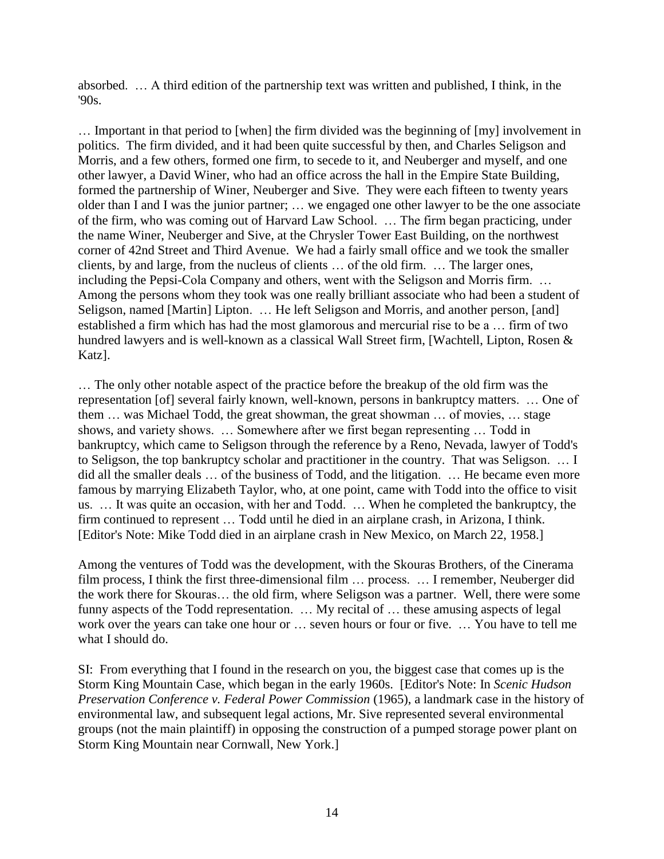absorbed. … A third edition of the partnership text was written and published, I think, in the  $90s$ .

… Important in that period to [when] the firm divided was the beginning of [my] involvement in politics. The firm divided, and it had been quite successful by then, and Charles Seligson and Morris, and a few others, formed one firm, to secede to it, and Neuberger and myself, and one other lawyer, a David Winer, who had an office across the hall in the Empire State Building, formed the partnership of Winer, Neuberger and Sive. They were each fifteen to twenty years older than I and I was the junior partner; … we engaged one other lawyer to be the one associate of the firm, who was coming out of Harvard Law School. … The firm began practicing, under the name Winer, Neuberger and Sive, at the Chrysler Tower East Building, on the northwest corner of 42nd Street and Third Avenue. We had a fairly small office and we took the smaller clients, by and large, from the nucleus of clients … of the old firm. … The larger ones, including the Pepsi-Cola Company and others, went with the Seligson and Morris firm. … Among the persons whom they took was one really brilliant associate who had been a student of Seligson, named [Martin] Lipton. … He left Seligson and Morris, and another person, [and] established a firm which has had the most glamorous and mercurial rise to be a … firm of two hundred lawyers and is well-known as a classical Wall Street firm, [Wachtell, Lipton, Rosen & Katz].

… The only other notable aspect of the practice before the breakup of the old firm was the representation [of] several fairly known, well-known, persons in bankruptcy matters. … One of them … was Michael Todd, the great showman, the great showman … of movies, … stage shows, and variety shows. … Somewhere after we first began representing … Todd in bankruptcy, which came to Seligson through the reference by a Reno, Nevada, lawyer of Todd's to Seligson, the top bankruptcy scholar and practitioner in the country. That was Seligson. … I did all the smaller deals … of the business of Todd, and the litigation. … He became even more famous by marrying Elizabeth Taylor, who, at one point, came with Todd into the office to visit us. … It was quite an occasion, with her and Todd. … When he completed the bankruptcy, the firm continued to represent … Todd until he died in an airplane crash, in Arizona, I think. [Editor's Note: Mike Todd died in an airplane crash in New Mexico, on March 22, 1958.]

Among the ventures of Todd was the development, with the Skouras Brothers, of the Cinerama film process, I think the first three-dimensional film … process. … I remember, Neuberger did the work there for Skouras… the old firm, where Seligson was a partner. Well, there were some funny aspects of the Todd representation. … My recital of … these amusing aspects of legal work over the years can take one hour or … seven hours or four or five. … You have to tell me what I should do.

SI: From everything that I found in the research on you, the biggest case that comes up is the Storm King Mountain Case, which began in the early 1960s. [Editor's Note: In *Scenic Hudson Preservation Conference v. Federal Power Commission* (1965), a landmark case in the history of environmental law, and subsequent legal actions, Mr. Sive represented several environmental groups (not the main plaintiff) in opposing the construction of a pumped storage power plant on Storm King Mountain near Cornwall, New York.]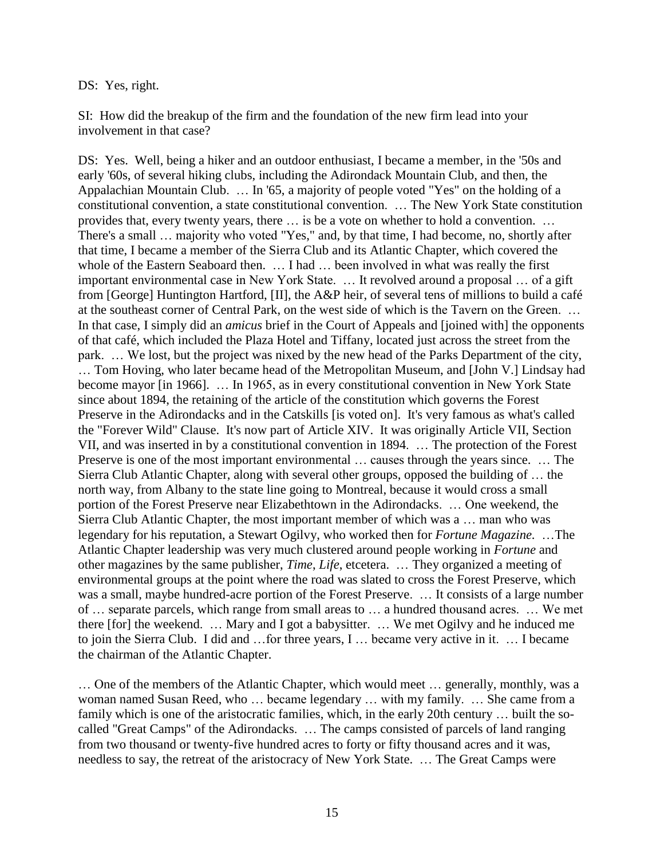#### DS: Yes, right.

SI: How did the breakup of the firm and the foundation of the new firm lead into your involvement in that case?

DS: Yes. Well, being a hiker and an outdoor enthusiast, I became a member, in the '50s and early '60s, of several hiking clubs, including the Adirondack Mountain Club, and then, the Appalachian Mountain Club. … In '65, a majority of people voted "Yes" on the holding of a constitutional convention, a state constitutional convention. … The New York State constitution provides that, every twenty years, there … is be a vote on whether to hold a convention. … There's a small … majority who voted "Yes," and, by that time, I had become, no, shortly after that time, I became a member of the Sierra Club and its Atlantic Chapter, which covered the whole of the Eastern Seaboard then. ... I had ... been involved in what was really the first important environmental case in New York State. … It revolved around a proposal … of a gift from [George] Huntington Hartford, [II], the A&P heir, of several tens of millions to build a café at the southeast corner of Central Park, on the west side of which is the Tavern on the Green. … In that case, I simply did an *amicus* brief in the Court of Appeals and [joined with] the opponents of that café, which included the Plaza Hotel and Tiffany, located just across the street from the park. … We lost, but the project was nixed by the new head of the Parks Department of the city, … Tom Hoving, who later became head of the Metropolitan Museum, and [John V.] Lindsay had become mayor [in 1966]. … In 1965, as in every constitutional convention in New York State since about 1894, the retaining of the article of the constitution which governs the Forest Preserve in the Adirondacks and in the Catskills [is voted on]. It's very famous as what's called the "Forever Wild" Clause. It's now part of Article XIV. It was originally Article VII, Section VII, and was inserted in by a constitutional convention in 1894. … The protection of the Forest Preserve is one of the most important environmental … causes through the years since. … The Sierra Club Atlantic Chapter, along with several other groups, opposed the building of … the north way, from Albany to the state line going to Montreal, because it would cross a small portion of the Forest Preserve near Elizabethtown in the Adirondacks. … One weekend, the Sierra Club Atlantic Chapter, the most important member of which was a … man who was legendary for his reputation, a Stewart Ogilvy, who worked then for *Fortune Magazine.* …The Atlantic Chapter leadership was very much clustered around people working in *Fortune* and other magazines by the same publisher, *Time*, *Life*, etcetera. … They organized a meeting of environmental groups at the point where the road was slated to cross the Forest Preserve, which was a small, maybe hundred-acre portion of the Forest Preserve. … It consists of a large number of … separate parcels, which range from small areas to … a hundred thousand acres. … We met there [for] the weekend. … Mary and I got a babysitter. … We met Ogilvy and he induced me to join the Sierra Club. I did and …for three years, I … became very active in it. … I became the chairman of the Atlantic Chapter.

… One of the members of the Atlantic Chapter, which would meet … generally, monthly, was a woman named Susan Reed, who … became legendary … with my family. … She came from a family which is one of the aristocratic families, which, in the early 20th century … built the socalled "Great Camps" of the Adirondacks. … The camps consisted of parcels of land ranging from two thousand or twenty-five hundred acres to forty or fifty thousand acres and it was, needless to say, the retreat of the aristocracy of New York State. … The Great Camps were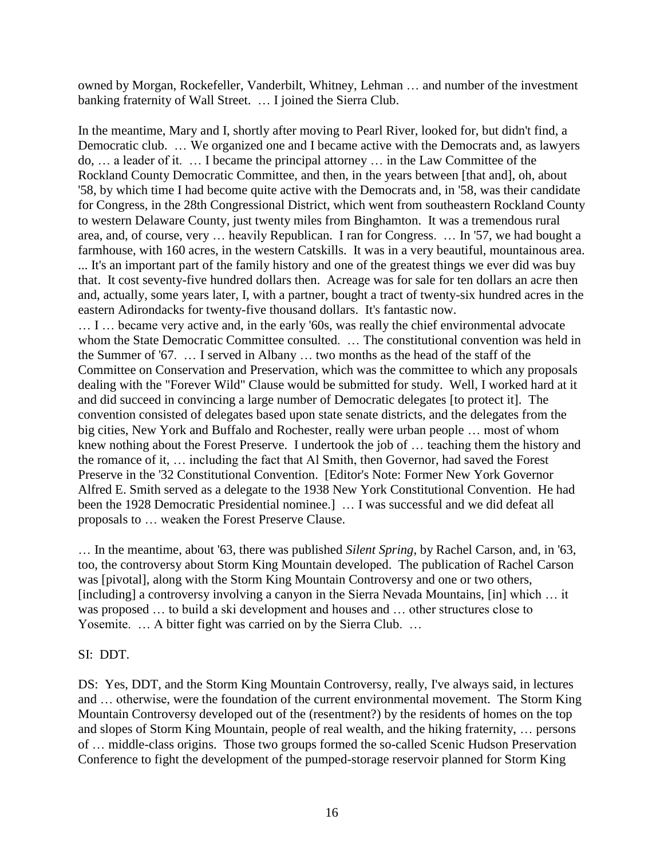owned by Morgan, Rockefeller, Vanderbilt, Whitney, Lehman … and number of the investment banking fraternity of Wall Street. … I joined the Sierra Club.

In the meantime, Mary and I, shortly after moving to Pearl River, looked for, but didn't find, a Democratic club. … We organized one and I became active with the Democrats and, as lawyers do, … a leader of it. … I became the principal attorney … in the Law Committee of the Rockland County Democratic Committee, and then, in the years between [that and], oh, about '58, by which time I had become quite active with the Democrats and, in '58, was their candidate for Congress, in the 28th Congressional District, which went from southeastern Rockland County to western Delaware County, just twenty miles from Binghamton. It was a tremendous rural area, and, of course, very … heavily Republican. I ran for Congress. … In '57, we had bought a farmhouse, with 160 acres, in the western Catskills. It was in a very beautiful, mountainous area. ... It's an important part of the family history and one of the greatest things we ever did was buy that. It cost seventy-five hundred dollars then. Acreage was for sale for ten dollars an acre then and, actually, some years later, I, with a partner, bought a tract of twenty-six hundred acres in the eastern Adirondacks for twenty-five thousand dollars. It's fantastic now.

… I … became very active and, in the early '60s, was really the chief environmental advocate whom the State Democratic Committee consulted. ... The constitutional convention was held in the Summer of '67. … I served in Albany … two months as the head of the staff of the Committee on Conservation and Preservation, which was the committee to which any proposals dealing with the "Forever Wild" Clause would be submitted for study. Well, I worked hard at it and did succeed in convincing a large number of Democratic delegates [to protect it]. The convention consisted of delegates based upon state senate districts, and the delegates from the big cities, New York and Buffalo and Rochester, really were urban people … most of whom knew nothing about the Forest Preserve. I undertook the job of … teaching them the history and the romance of it, … including the fact that Al Smith, then Governor, had saved the Forest Preserve in the '32 Constitutional Convention. [Editor's Note: Former New York Governor Alfred E. Smith served as a delegate to the 1938 New York Constitutional Convention. He had been the 1928 Democratic Presidential nominee.] … I was successful and we did defeat all proposals to … weaken the Forest Preserve Clause.

… In the meantime, about '63, there was published *Silent Spring,* by Rachel Carson, and, in '63, too, the controversy about Storm King Mountain developed. The publication of Rachel Carson was [pivotal], along with the Storm King Mountain Controversy and one or two others, [including] a controversy involving a canyon in the Sierra Nevada Mountains, [in] which … it was proposed … to build a ski development and houses and … other structures close to Yosemite. ... A bitter fight was carried on by the Sierra Club. ...

#### SI: DDT.

DS: Yes, DDT, and the Storm King Mountain Controversy, really, I've always said, in lectures and … otherwise, were the foundation of the current environmental movement. The Storm King Mountain Controversy developed out of the (resentment?) by the residents of homes on the top and slopes of Storm King Mountain, people of real wealth, and the hiking fraternity, … persons of … middle-class origins. Those two groups formed the so-called Scenic Hudson Preservation Conference to fight the development of the pumped-storage reservoir planned for Storm King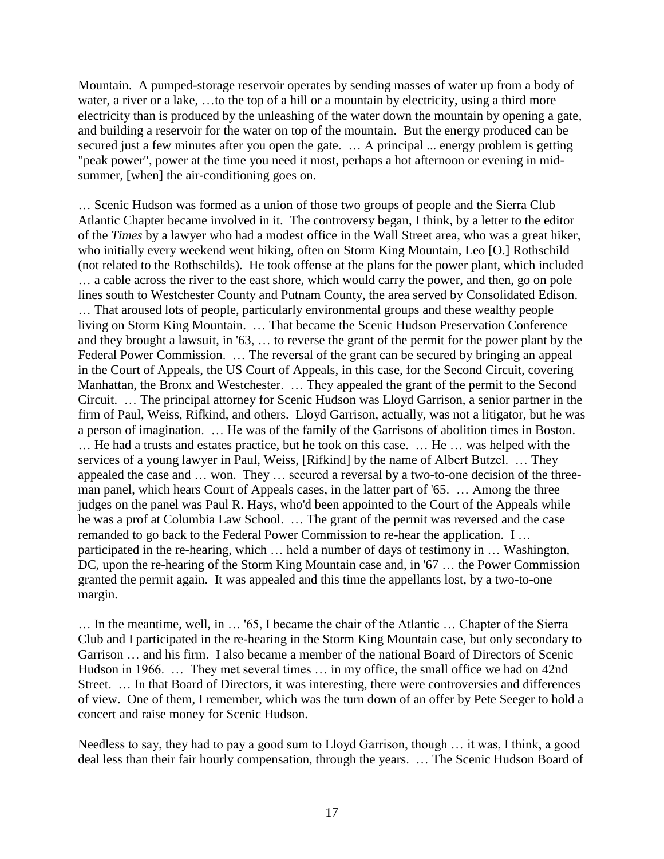Mountain. A pumped-storage reservoir operates by sending masses of water up from a body of water, a river or a lake, ...to the top of a hill or a mountain by electricity, using a third more electricity than is produced by the unleashing of the water down the mountain by opening a gate, and building a reservoir for the water on top of the mountain. But the energy produced can be secured just a few minutes after you open the gate. ... A principal ... energy problem is getting "peak power", power at the time you need it most, perhaps a hot afternoon or evening in midsummer, [when] the air-conditioning goes on.

… Scenic Hudson was formed as a union of those two groups of people and the Sierra Club Atlantic Chapter became involved in it. The controversy began, I think, by a letter to the editor of the *Times* by a lawyer who had a modest office in the Wall Street area, who was a great hiker, who initially every weekend went hiking, often on Storm King Mountain, Leo [O.] Rothschild (not related to the Rothschilds). He took offense at the plans for the power plant, which included … a cable across the river to the east shore, which would carry the power, and then, go on pole lines south to Westchester County and Putnam County, the area served by Consolidated Edison. … That aroused lots of people, particularly environmental groups and these wealthy people living on Storm King Mountain. … That became the Scenic Hudson Preservation Conference and they brought a lawsuit, in '63, … to reverse the grant of the permit for the power plant by the Federal Power Commission. … The reversal of the grant can be secured by bringing an appeal in the Court of Appeals, the US Court of Appeals, in this case, for the Second Circuit, covering Manhattan, the Bronx and Westchester. … They appealed the grant of the permit to the Second Circuit. … The principal attorney for Scenic Hudson was Lloyd Garrison, a senior partner in the firm of Paul, Weiss, Rifkind, and others. Lloyd Garrison, actually, was not a litigator, but he was a person of imagination. … He was of the family of the Garrisons of abolition times in Boston. … He had a trusts and estates practice, but he took on this case. … He … was helped with the services of a young lawyer in Paul, Weiss, [Rifkind] by the name of Albert Butzel. … They appealed the case and … won. They … secured a reversal by a two-to-one decision of the threeman panel, which hears Court of Appeals cases, in the latter part of '65. … Among the three judges on the panel was Paul R. Hays, who'd been appointed to the Court of the Appeals while he was a prof at Columbia Law School. … The grant of the permit was reversed and the case remanded to go back to the Federal Power Commission to re-hear the application. I … participated in the re-hearing, which … held a number of days of testimony in … Washington, DC, upon the re-hearing of the Storm King Mountain case and, in '67 … the Power Commission granted the permit again. It was appealed and this time the appellants lost, by a two-to-one margin.

… In the meantime, well, in … '65, I became the chair of the Atlantic … Chapter of the Sierra Club and I participated in the re-hearing in the Storm King Mountain case, but only secondary to Garrison … and his firm. I also became a member of the national Board of Directors of Scenic Hudson in 1966. … They met several times … in my office, the small office we had on 42nd Street. … In that Board of Directors, it was interesting, there were controversies and differences of view. One of them, I remember, which was the turn down of an offer by Pete Seeger to hold a concert and raise money for Scenic Hudson.

Needless to say, they had to pay a good sum to Lloyd Garrison, though … it was, I think, a good deal less than their fair hourly compensation, through the years. … The Scenic Hudson Board of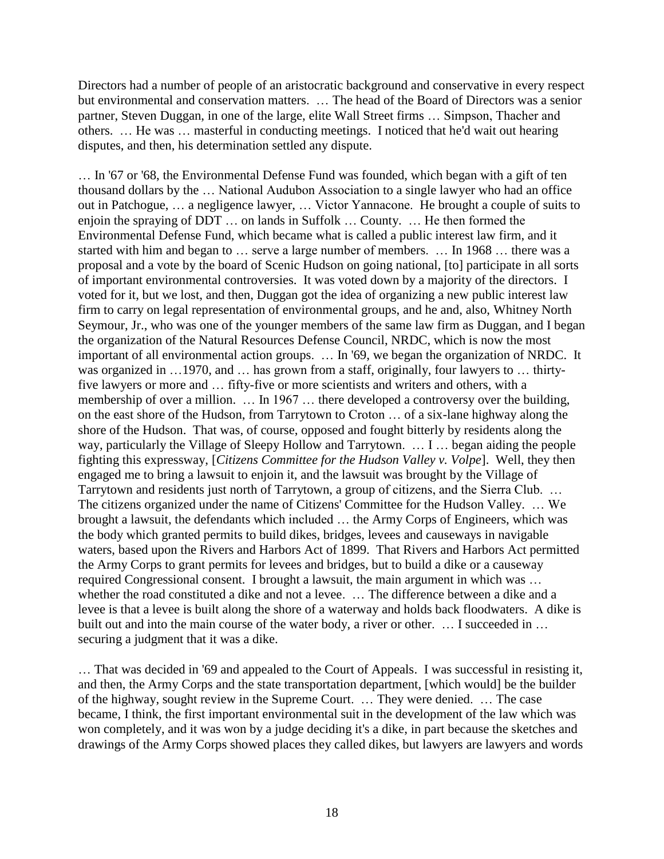Directors had a number of people of an aristocratic background and conservative in every respect but environmental and conservation matters. … The head of the Board of Directors was a senior partner, Steven Duggan, in one of the large, elite Wall Street firms … Simpson, Thacher and others. … He was … masterful in conducting meetings. I noticed that he'd wait out hearing disputes, and then, his determination settled any dispute.

… In '67 or '68, the Environmental Defense Fund was founded, which began with a gift of ten thousand dollars by the … National Audubon Association to a single lawyer who had an office out in Patchogue, … a negligence lawyer, … Victor Yannacone. He brought a couple of suits to enjoin the spraying of DDT … on lands in Suffolk … County. … He then formed the Environmental Defense Fund, which became what is called a public interest law firm, and it started with him and began to … serve a large number of members. … In 1968 … there was a proposal and a vote by the board of Scenic Hudson on going national, [to] participate in all sorts of important environmental controversies. It was voted down by a majority of the directors. I voted for it, but we lost, and then, Duggan got the idea of organizing a new public interest law firm to carry on legal representation of environmental groups, and he and, also, Whitney North Seymour, Jr., who was one of the younger members of the same law firm as Duggan, and I began the organization of the Natural Resources Defense Council, NRDC, which is now the most important of all environmental action groups. … In '69, we began the organization of NRDC. It was organized in ...1970, and ... has grown from a staff, originally, four lawyers to ... thirtyfive lawyers or more and … fifty-five or more scientists and writers and others, with a membership of over a million. … In 1967 … there developed a controversy over the building, on the east shore of the Hudson, from Tarrytown to Croton … of a six-lane highway along the shore of the Hudson. That was, of course, opposed and fought bitterly by residents along the way, particularly the Village of Sleepy Hollow and Tarrytown. … I … began aiding the people fighting this expressway, [*Citizens Committee for the Hudson Valley v. Volpe*]. Well, they then engaged me to bring a lawsuit to enjoin it, and the lawsuit was brought by the Village of Tarrytown and residents just north of Tarrytown, a group of citizens, and the Sierra Club. … The citizens organized under the name of Citizens' Committee for the Hudson Valley. … We brought a lawsuit, the defendants which included … the Army Corps of Engineers, which was the body which granted permits to build dikes, bridges, levees and causeways in navigable waters, based upon the Rivers and Harbors Act of 1899. That Rivers and Harbors Act permitted the Army Corps to grant permits for levees and bridges, but to build a dike or a causeway required Congressional consent. I brought a lawsuit, the main argument in which was … whether the road constituted a dike and not a levee. … The difference between a dike and a levee is that a levee is built along the shore of a waterway and holds back floodwaters. A dike is built out and into the main course of the water body, a river or other. ... I succeeded in ... securing a judgment that it was a dike.

… That was decided in '69 and appealed to the Court of Appeals. I was successful in resisting it, and then, the Army Corps and the state transportation department, [which would] be the builder of the highway, sought review in the Supreme Court. … They were denied. … The case became, I think, the first important environmental suit in the development of the law which was won completely, and it was won by a judge deciding it's a dike, in part because the sketches and drawings of the Army Corps showed places they called dikes, but lawyers are lawyers and words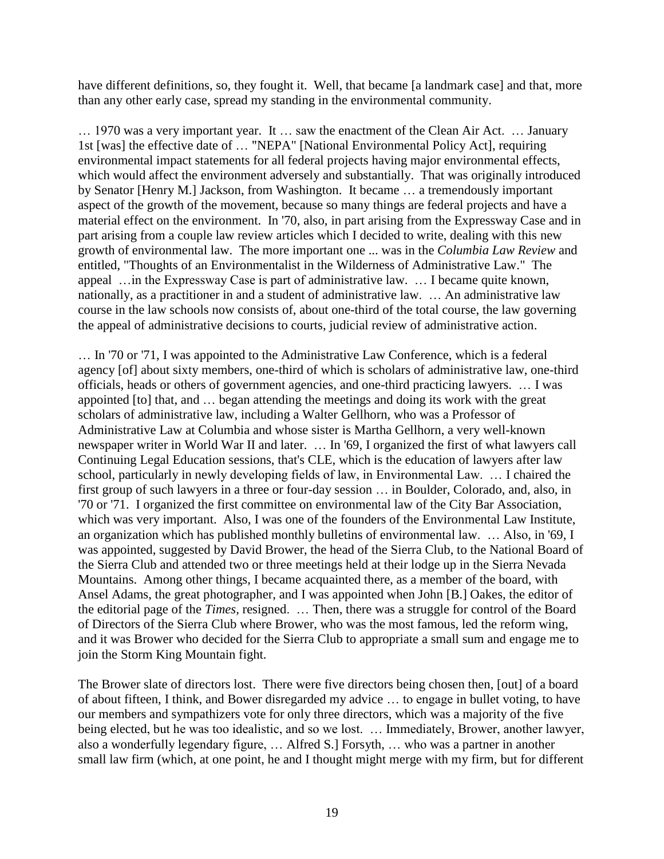have different definitions, so, they fought it. Well, that became [a landmark case] and that, more than any other early case, spread my standing in the environmental community.

… 1970 was a very important year. It … saw the enactment of the Clean Air Act. … January 1st [was] the effective date of … "NEPA" [National Environmental Policy Act], requiring environmental impact statements for all federal projects having major environmental effects, which would affect the environment adversely and substantially. That was originally introduced by Senator [Henry M.] Jackson, from Washington. It became … a tremendously important aspect of the growth of the movement, because so many things are federal projects and have a material effect on the environment. In '70, also, in part arising from the Expressway Case and in part arising from a couple law review articles which I decided to write, dealing with this new growth of environmental law. The more important one ... was in the *Columbia Law Review* and entitled, "Thoughts of an Environmentalist in the Wilderness of Administrative Law." The appeal …in the Expressway Case is part of administrative law. … I became quite known, nationally, as a practitioner in and a student of administrative law. … An administrative law course in the law schools now consists of, about one-third of the total course, the law governing the appeal of administrative decisions to courts, judicial review of administrative action.

… In '70 or '71, I was appointed to the Administrative Law Conference, which is a federal agency [of] about sixty members, one-third of which is scholars of administrative law, one-third officials, heads or others of government agencies, and one-third practicing lawyers. … I was appointed [to] that, and … began attending the meetings and doing its work with the great scholars of administrative law, including a Walter Gellhorn, who was a Professor of Administrative Law at Columbia and whose sister is Martha Gellhorn, a very well-known newspaper writer in World War II and later. … In '69, I organized the first of what lawyers call Continuing Legal Education sessions, that's CLE, which is the education of lawyers after law school, particularly in newly developing fields of law, in Environmental Law. … I chaired the first group of such lawyers in a three or four-day session … in Boulder, Colorado, and, also, in '70 or '71. I organized the first committee on environmental law of the City Bar Association, which was very important. Also, I was one of the founders of the Environmental Law Institute, an organization which has published monthly bulletins of environmental law. … Also, in '69, I was appointed, suggested by David Brower, the head of the Sierra Club, to the National Board of the Sierra Club and attended two or three meetings held at their lodge up in the Sierra Nevada Mountains. Among other things, I became acquainted there, as a member of the board, with Ansel Adams, the great photographer, and I was appointed when John [B.] Oakes, the editor of the editorial page of the *Times,* resigned. … Then, there was a struggle for control of the Board of Directors of the Sierra Club where Brower, who was the most famous, led the reform wing, and it was Brower who decided for the Sierra Club to appropriate a small sum and engage me to join the Storm King Mountain fight.

The Brower slate of directors lost. There were five directors being chosen then, [out] of a board of about fifteen, I think, and Bower disregarded my advice … to engage in bullet voting, to have our members and sympathizers vote for only three directors, which was a majority of the five being elected, but he was too idealistic, and so we lost. … Immediately, Brower, another lawyer, also a wonderfully legendary figure, … Alfred S.] Forsyth, … who was a partner in another small law firm (which, at one point, he and I thought might merge with my firm, but for different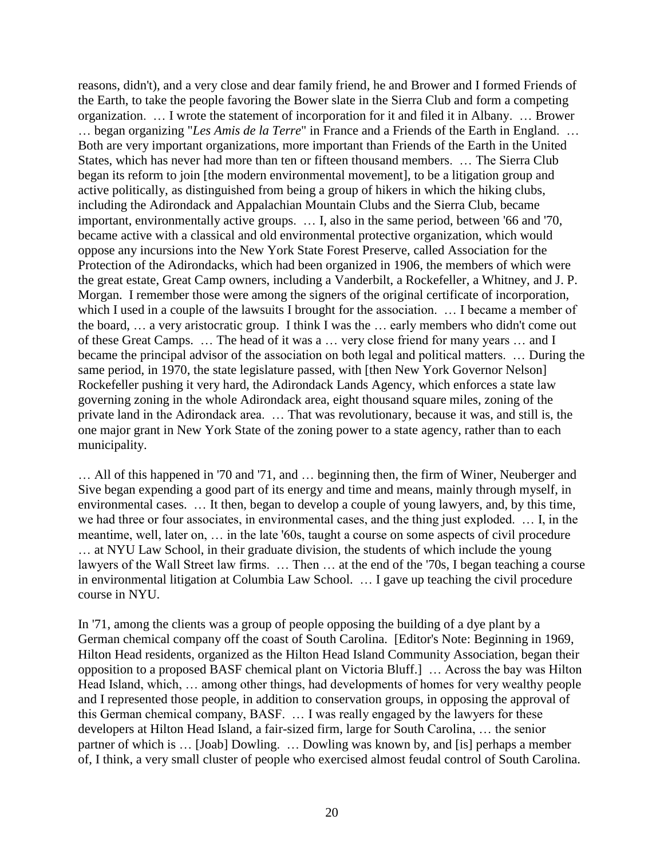reasons, didn't), and a very close and dear family friend, he and Brower and I formed Friends of the Earth, to take the people favoring the Bower slate in the Sierra Club and form a competing organization. … I wrote the statement of incorporation for it and filed it in Albany. … Brower … began organizing "*Les Amis de la Terre*" in France and a Friends of the Earth in England. … Both are very important organizations, more important than Friends of the Earth in the United States, which has never had more than ten or fifteen thousand members. … The Sierra Club began its reform to join [the modern environmental movement], to be a litigation group and active politically, as distinguished from being a group of hikers in which the hiking clubs, including the Adirondack and Appalachian Mountain Clubs and the Sierra Club, became important, environmentally active groups. … I, also in the same period, between '66 and '70, became active with a classical and old environmental protective organization, which would oppose any incursions into the New York State Forest Preserve, called Association for the Protection of the Adirondacks, which had been organized in 1906, the members of which were the great estate, Great Camp owners, including a Vanderbilt, a Rockefeller, a Whitney, and J. P. Morgan. I remember those were among the signers of the original certificate of incorporation, which I used in a couple of the lawsuits I brought for the association. ... I became a member of the board, … a very aristocratic group. I think I was the … early members who didn't come out of these Great Camps. … The head of it was a … very close friend for many years … and I became the principal advisor of the association on both legal and political matters. … During the same period, in 1970, the state legislature passed, with [then New York Governor Nelson] Rockefeller pushing it very hard, the Adirondack Lands Agency, which enforces a state law governing zoning in the whole Adirondack area, eight thousand square miles, zoning of the private land in the Adirondack area. … That was revolutionary, because it was, and still is, the one major grant in New York State of the zoning power to a state agency, rather than to each municipality.

… All of this happened in '70 and '71, and … beginning then, the firm of Winer, Neuberger and Sive began expending a good part of its energy and time and means, mainly through myself, in environmental cases. … It then, began to develop a couple of young lawyers, and, by this time, we had three or four associates, in environmental cases, and the thing just exploded. … I, in the meantime, well, later on, … in the late '60s, taught a course on some aspects of civil procedure … at NYU Law School, in their graduate division, the students of which include the young lawyers of the Wall Street law firms. … Then … at the end of the '70s, I began teaching a course in environmental litigation at Columbia Law School. … I gave up teaching the civil procedure course in NYU.

In '71, among the clients was a group of people opposing the building of a dye plant by a German chemical company off the coast of South Carolina. [Editor's Note: Beginning in 1969, Hilton Head residents, organized as the Hilton Head Island Community Association, began their opposition to a proposed BASF chemical plant on Victoria Bluff.] … Across the bay was Hilton Head Island, which, … among other things, had developments of homes for very wealthy people and I represented those people, in addition to conservation groups, in opposing the approval of this German chemical company, BASF. … I was really engaged by the lawyers for these developers at Hilton Head Island, a fair-sized firm, large for South Carolina, … the senior partner of which is … [Joab] Dowling. … Dowling was known by, and [is] perhaps a member of, I think, a very small cluster of people who exercised almost feudal control of South Carolina.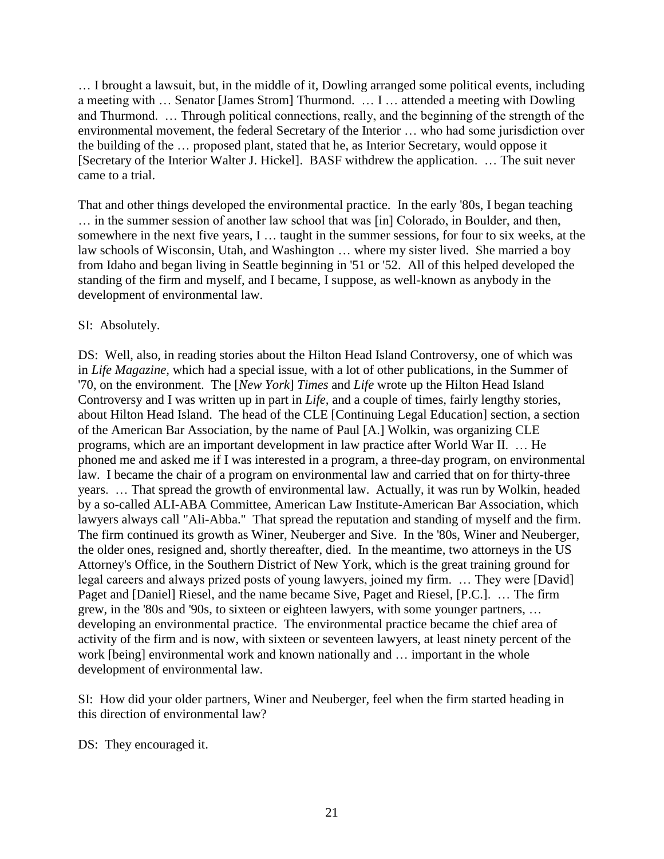… I brought a lawsuit, but, in the middle of it, Dowling arranged some political events, including a meeting with … Senator [James Strom] Thurmond. … I … attended a meeting with Dowling and Thurmond. … Through political connections, really, and the beginning of the strength of the environmental movement, the federal Secretary of the Interior … who had some jurisdiction over the building of the … proposed plant, stated that he, as Interior Secretary, would oppose it [Secretary of the Interior Walter J. Hickel]. BASF withdrew the application. … The suit never came to a trial.

That and other things developed the environmental practice. In the early '80s, I began teaching … in the summer session of another law school that was [in] Colorado, in Boulder, and then, somewhere in the next five years, I … taught in the summer sessions, for four to six weeks, at the law schools of Wisconsin, Utah, and Washington … where my sister lived. She married a boy from Idaho and began living in Seattle beginning in '51 or '52. All of this helped developed the standing of the firm and myself, and I became, I suppose, as well-known as anybody in the development of environmental law.

# SI: Absolutely.

DS: Well, also, in reading stories about the Hilton Head Island Controversy, one of which was in *Life Magazine,* which had a special issue, with a lot of other publications, in the Summer of '70, on the environment. The [*New York*] *Times* and *Life* wrote up the Hilton Head Island Controversy and I was written up in part in *Life,* and a couple of times, fairly lengthy stories, about Hilton Head Island. The head of the CLE [Continuing Legal Education] section, a section of the American Bar Association, by the name of Paul [A.] Wolkin, was organizing CLE programs, which are an important development in law practice after World War II. … He phoned me and asked me if I was interested in a program, a three-day program, on environmental law. I became the chair of a program on environmental law and carried that on for thirty-three years. … That spread the growth of environmental law. Actually, it was run by Wolkin, headed by a so-called ALI-ABA Committee, American Law Institute-American Bar Association, which lawyers always call "Ali-Abba." That spread the reputation and standing of myself and the firm. The firm continued its growth as Winer, Neuberger and Sive. In the '80s, Winer and Neuberger, the older ones, resigned and, shortly thereafter, died. In the meantime, two attorneys in the US Attorney's Office, in the Southern District of New York, which is the great training ground for legal careers and always prized posts of young lawyers, joined my firm. … They were [David] Paget and [Daniel] Riesel, and the name became Sive, Paget and Riesel, [P.C.]. … The firm grew, in the '80s and '90s, to sixteen or eighteen lawyers, with some younger partners, … developing an environmental practice. The environmental practice became the chief area of activity of the firm and is now, with sixteen or seventeen lawyers, at least ninety percent of the work [being] environmental work and known nationally and … important in the whole development of environmental law.

SI: How did your older partners, Winer and Neuberger, feel when the firm started heading in this direction of environmental law?

DS: They encouraged it.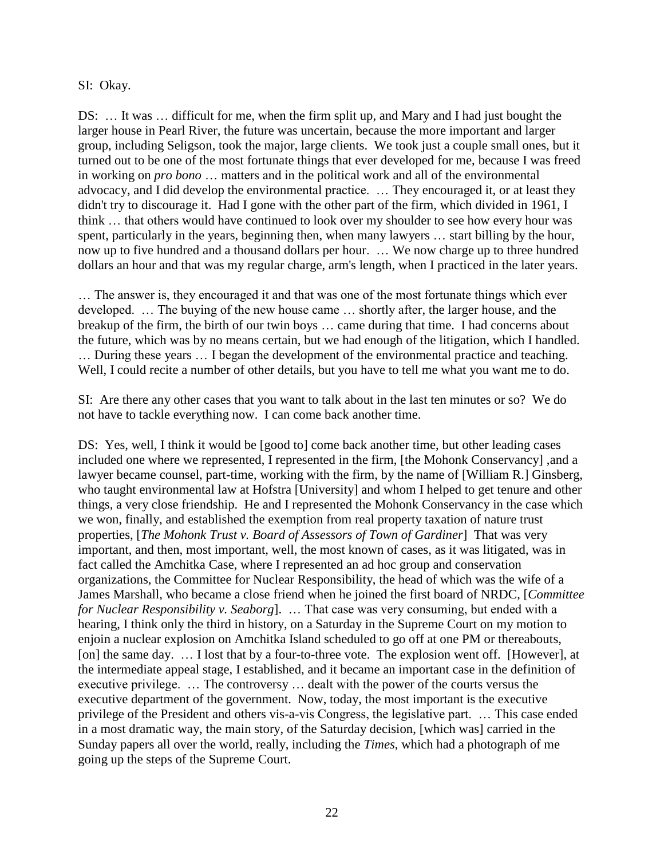#### SI: Okay.

DS: … It was … difficult for me, when the firm split up, and Mary and I had just bought the larger house in Pearl River, the future was uncertain, because the more important and larger group, including Seligson, took the major, large clients. We took just a couple small ones, but it turned out to be one of the most fortunate things that ever developed for me, because I was freed in working on *pro bono* … matters and in the political work and all of the environmental advocacy, and I did develop the environmental practice. … They encouraged it, or at least they didn't try to discourage it. Had I gone with the other part of the firm, which divided in 1961, I think … that others would have continued to look over my shoulder to see how every hour was spent, particularly in the years, beginning then, when many lawyers … start billing by the hour, now up to five hundred and a thousand dollars per hour. … We now charge up to three hundred dollars an hour and that was my regular charge, arm's length, when I practiced in the later years.

… The answer is, they encouraged it and that was one of the most fortunate things which ever developed. … The buying of the new house came … shortly after, the larger house, and the breakup of the firm, the birth of our twin boys … came during that time. I had concerns about the future, which was by no means certain, but we had enough of the litigation, which I handled. … During these years … I began the development of the environmental practice and teaching. Well, I could recite a number of other details, but you have to tell me what you want me to do.

SI: Are there any other cases that you want to talk about in the last ten minutes or so? We do not have to tackle everything now. I can come back another time.

DS: Yes, well, I think it would be [good to] come back another time, but other leading cases included one where we represented, I represented in the firm, [the Mohonk Conservancy] ,and a lawyer became counsel, part-time, working with the firm, by the name of [William R.] Ginsberg, who taught environmental law at Hofstra [University] and whom I helped to get tenure and other things, a very close friendship. He and I represented the Mohonk Conservancy in the case which we won, finally, and established the exemption from real property taxation of nature trust properties, [*The Mohonk Trust v. Board of Assessors of Town of Gardiner*] That was very important, and then, most important, well, the most known of cases, as it was litigated, was in fact called the Amchitka Case, where I represented an ad hoc group and conservation organizations, the Committee for Nuclear Responsibility, the head of which was the wife of a James Marshall, who became a close friend when he joined the first board of NRDC, [*Committee for Nuclear Responsibility v. Seaborg*]. … That case was very consuming, but ended with a hearing, I think only the third in history, on a Saturday in the Supreme Court on my motion to enjoin a nuclear explosion on Amchitka Island scheduled to go off at one PM or thereabouts, [on] the same day. ... I lost that by a four-to-three vote. The explosion went off. [However], at the intermediate appeal stage, I established, and it became an important case in the definition of executive privilege. … The controversy … dealt with the power of the courts versus the executive department of the government. Now, today, the most important is the executive privilege of the President and others vis-a-vis Congress, the legislative part. … This case ended in a most dramatic way, the main story, of the Saturday decision, [which was] carried in the Sunday papers all over the world, really, including the *Times*, which had a photograph of me going up the steps of the Supreme Court.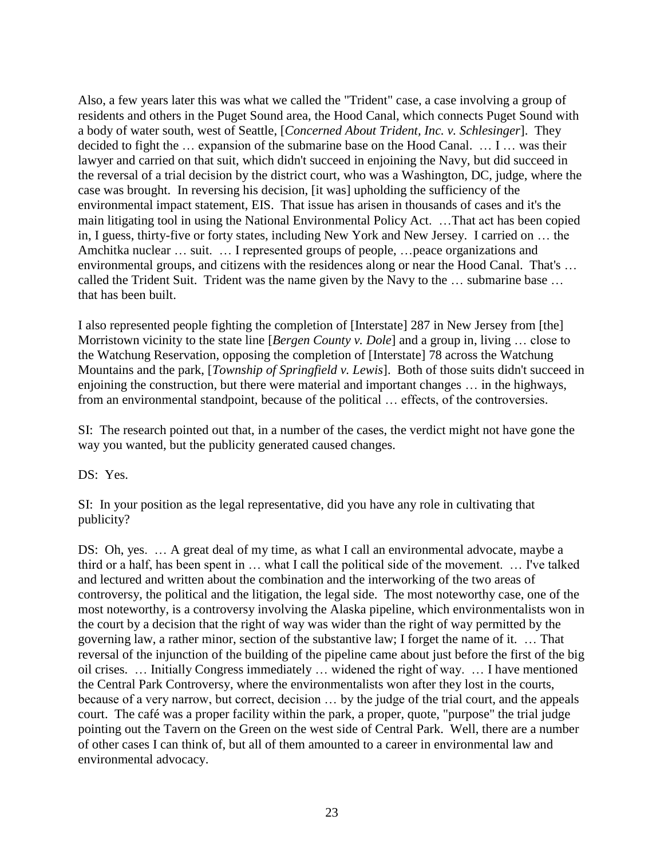Also, a few years later this was what we called the "Trident" case, a case involving a group of residents and others in the Puget Sound area, the Hood Canal, which connects Puget Sound with a body of water south, west of Seattle, [*Concerned About Trident, Inc. v. Schlesinger*]. They decided to fight the … expansion of the submarine base on the Hood Canal. … I … was their lawyer and carried on that suit, which didn't succeed in enjoining the Navy, but did succeed in the reversal of a trial decision by the district court, who was a Washington, DC, judge, where the case was brought. In reversing his decision, [it was] upholding the sufficiency of the environmental impact statement, EIS. That issue has arisen in thousands of cases and it's the main litigating tool in using the National Environmental Policy Act. …That act has been copied in, I guess, thirty-five or forty states, including New York and New Jersey. I carried on … the Amchitka nuclear … suit. … I represented groups of people, …peace organizations and environmental groups, and citizens with the residences along or near the Hood Canal. That's … called the Trident Suit. Trident was the name given by the Navy to the … submarine base … that has been built.

I also represented people fighting the completion of [Interstate] 287 in New Jersey from [the] Morristown vicinity to the state line [*Bergen County v. Dole*] and a group in, living … close to the Watchung Reservation, opposing the completion of [Interstate] 78 across the Watchung Mountains and the park, [*Township of Springfield v. Lewis*]. Both of those suits didn't succeed in enjoining the construction, but there were material and important changes … in the highways, from an environmental standpoint, because of the political … effects, of the controversies.

SI: The research pointed out that, in a number of the cases, the verdict might not have gone the way you wanted, but the publicity generated caused changes.

DS: Yes.

SI: In your position as the legal representative, did you have any role in cultivating that publicity?

DS: Oh, yes. ... A great deal of my time, as what I call an environmental advocate, maybe a third or a half, has been spent in … what I call the political side of the movement. … I've talked and lectured and written about the combination and the interworking of the two areas of controversy, the political and the litigation, the legal side. The most noteworthy case, one of the most noteworthy, is a controversy involving the Alaska pipeline, which environmentalists won in the court by a decision that the right of way was wider than the right of way permitted by the governing law, a rather minor, section of the substantive law; I forget the name of it. … That reversal of the injunction of the building of the pipeline came about just before the first of the big oil crises. … Initially Congress immediately … widened the right of way. … I have mentioned the Central Park Controversy, where the environmentalists won after they lost in the courts, because of a very narrow, but correct, decision … by the judge of the trial court, and the appeals court. The café was a proper facility within the park, a proper, quote, "purpose" the trial judge pointing out the Tavern on the Green on the west side of Central Park. Well, there are a number of other cases I can think of, but all of them amounted to a career in environmental law and environmental advocacy.